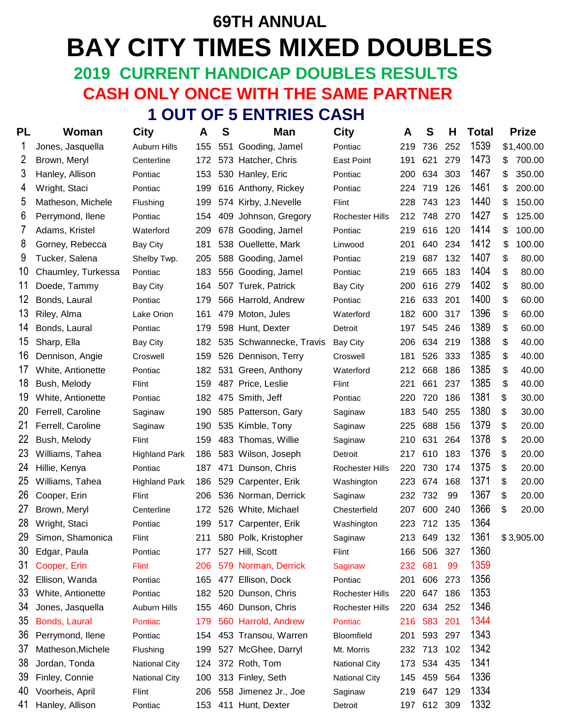# **69TH ANNUAL BAY CITY TIMES MIXED DOUBLES 2019 CURRENT HANDICAP DOUBLES RESULTS**

## **CASH ONLY ONCE WITH THE SAME PARTNER**

 **1 OUT OF 5 ENTRIES CASH**

| PL | Woman              | City                 | A   | S   | Man                     | <b>City</b>            | A   | S           | Н   | <b>Total</b> | <b>Prize</b> |
|----|--------------------|----------------------|-----|-----|-------------------------|------------------------|-----|-------------|-----|--------------|--------------|
|    | Jones, Jasquella   | <b>Auburn Hills</b>  | 155 | 551 | Gooding, Jamel          | Pontiac                | 219 | 736         | 252 | 1539         | \$1,400.00   |
| 2  | Brown, Meryl       | Centerline           | 172 |     | 573 Hatcher, Chris      | <b>East Point</b>      | 191 | 621         | 279 | 1473         | \$<br>700.00 |
| 3  | Hanley, Allison    | Pontiac              | 153 |     | 530 Hanley, Eric        | Pontiac                | 200 | 634         | 303 | 1467         | \$<br>350.00 |
| 4  | Wright, Staci      | Pontiac              | 199 |     | 616 Anthony, Rickey     | Pontiac                | 224 | 719         | 126 | 1461         | \$<br>200.00 |
| 5  | Matheson, Michele  | Flushing             | 199 |     | 574 Kirby, J.Nevelle    | Flint                  | 228 | 743         | 123 | 1440         | \$<br>150.00 |
| 6  | Perrymond, Ilene   | Pontiac              | 154 |     | 409 Johnson, Gregory    | <b>Rochester Hills</b> | 212 | 748         | 270 | 1427         | \$<br>125.00 |
| 7  | Adams, Kristel     | Waterford            | 209 |     | 678 Gooding, Jamel      | Pontiac                | 219 | 616         | 120 | 1414         | \$<br>100.00 |
| 8  | Gorney, Rebecca    | <b>Bay City</b>      | 181 |     | 538 Ouellette, Mark     | Linwood                | 201 | 640         | 234 | 1412         | \$<br>100.00 |
| 9  | Tucker, Salena     | Shelby Twp.          | 205 |     | 588 Gooding, Jamel      | Pontiac                | 219 | 687         | 132 | 1407         | \$<br>80.00  |
| 10 | Chaumley, Turkessa | Pontiac              | 183 |     | 556 Gooding, Jamel      | Pontiac                | 219 | 665         | 183 | 1404         | \$<br>80.00  |
| 11 | Doede, Tammy       | <b>Bay City</b>      | 164 |     | 507 Turek, Patrick      | <b>Bay City</b>        | 200 | 616         | 279 | 1402         | \$<br>80.00  |
| 12 | Bonds, Laural      | Pontiac              | 179 |     | 566 Harrold, Andrew     | Pontiac                | 216 | 633         | 201 | 1400         | \$<br>60.00  |
| 13 | Riley, Alma        | Lake Orion           | 161 |     | 479 Moton, Jules        | Waterford              | 182 | 600         | 317 | 1396         | \$<br>60.00  |
| 14 | Bonds, Laural      | Pontiac              | 179 |     | 598 Hunt, Dexter        | Detroit                | 197 | 545         | 246 | 1389         | \$<br>60.00  |
| 15 | Sharp, Ella        | <b>Bay City</b>      | 182 |     | 535 Schwannecke, Travis | Bay City               | 206 | 634         | 219 | 1388         | \$<br>40.00  |
| 16 | Dennison, Angie    | Croswell             | 159 |     | 526 Dennison, Terry     | Croswell               | 181 | 526         | 333 | 1385         | \$<br>40.00  |
| 17 | White, Antionette  | Pontiac              | 182 |     | 531 Green, Anthony      | Waterford              | 212 | 668         | 186 | 1385         | \$<br>40.00  |
| 18 | Bush, Melody       | Flint                | 159 |     | 487 Price, Leslie       | Flint                  | 221 | 661         | 237 | 1385         | \$<br>40.00  |
| 19 | White, Antionette  | Pontiac              | 182 |     | 475 Smith, Jeff         | Pontiac                | 220 | 720         | 186 | 1381         | \$<br>30.00  |
| 20 | Ferrell, Caroline  | Saginaw              | 190 |     | 585 Patterson, Gary     | Saginaw                | 183 | 540         | 255 | 1380         | \$<br>30.00  |
| 21 | Ferrell, Caroline  | Saginaw              | 190 |     | 535 Kimble, Tony        | Saginaw                | 225 | 688         | 156 | 1379         | \$<br>20.00  |
| 22 | Bush, Melody       | Flint                | 159 |     | 483 Thomas, Willie      | Saginaw                | 210 | 631         | 264 | 1378         | \$<br>20.00  |
| 23 | Williams, Tahea    | <b>Highland Park</b> | 186 |     | 583 Wilson, Joseph      | Detroit                | 217 | 610         | 183 | 1376         | \$<br>20.00  |
| 24 | Hillie, Kenya      | Pontiac              | 187 | 471 | Dunson, Chris           | Rochester Hills        | 220 | 730         | 174 | 1375         | \$<br>20.00  |
| 25 | Williams, Tahea    | <b>Highland Park</b> | 186 |     | 529 Carpenter, Erik     | Washington             | 223 | 674         | 168 | 1371         | \$<br>20.00  |
| 26 | Cooper, Erin       | Flint                | 206 |     | 536 Norman, Derrick     | Saginaw                | 232 | 732         | 99  | 1367         | \$<br>20.00  |
| 27 | Brown, Meryl       | Centerline           | 172 |     | 526 White, Michael      | Chesterfield           | 207 | 600         | 240 | 1366         | \$<br>20.00  |
| 28 | Wright, Staci      | Pontiac              | 199 |     | 517 Carpenter, Erik     | Washington             | 223 | 712         | 135 | 1364         |              |
| 29 | Simon, Shamonica   | Flint                | 211 |     | 580 Polk, Kristopher    | Saginaw                | 213 | 649         | 132 | 1361         | \$3,905.00   |
| 30 | Edgar, Paula       | Pontiac              | 177 |     | 527 Hill, Scott         | Flint                  | 166 | 506         | 327 | 1360         |              |
| 31 | Cooper, Erin       | <b>Flint</b>         | 206 |     | 579 Norman, Derrick     | Saginaw                | 232 | 681         | 99  | 1359         |              |
| 32 | Ellison, Wanda     | Pontiac              | 165 |     | 477 Ellison, Dock       | Pontiac                | 201 | 606         | 273 | 1356         |              |
| 33 | White, Antionette  | Pontiac              | 182 |     | 520 Dunson, Chris       | Rochester Hills        | 220 | 647         | 186 | 1353         |              |
| 34 | Jones, Jasquella   | Auburn Hills         | 155 |     | 460 Dunson, Chris       | Rochester Hills        | 220 | 634         | 252 | 1346         |              |
| 35 | Bonds, Laural      | Pontiac              | 179 |     | 560 Harrold, Andrew     | Pontiac                | 216 | 583         | 201 | 1344         |              |
| 36 | Perrymond, Ilene   | Pontiac              | 154 |     | 453 Transou, Warren     | Bloomfield             | 201 | 593         | 297 | 1343         |              |
| 37 | Matheson, Michele  | Flushing             | 199 |     | 527 McGhee, Darryl      | Mt. Morris             |     | 232 713     | 102 | 1342         |              |
| 38 | Jordan, Tonda      | <b>National City</b> | 124 |     | 372 Roth, Tom           | <b>National City</b>   | 173 | 534 435     |     | 1341         |              |
| 39 | Finley, Connie     | <b>National City</b> | 100 |     | 313 Finley, Seth        | <b>National City</b>   | 145 | 459         | 564 | 1336         |              |
| 40 | Voorheis, April    | Flint                | 206 |     | 558 Jimenez Jr., Joe    | Saginaw                | 219 | 647         | 129 | 1334         |              |
| 41 | Hanley, Allison    | Pontiac              | 153 |     | 411 Hunt, Dexter        | Detroit                |     | 197 612 309 |     | 1332         |              |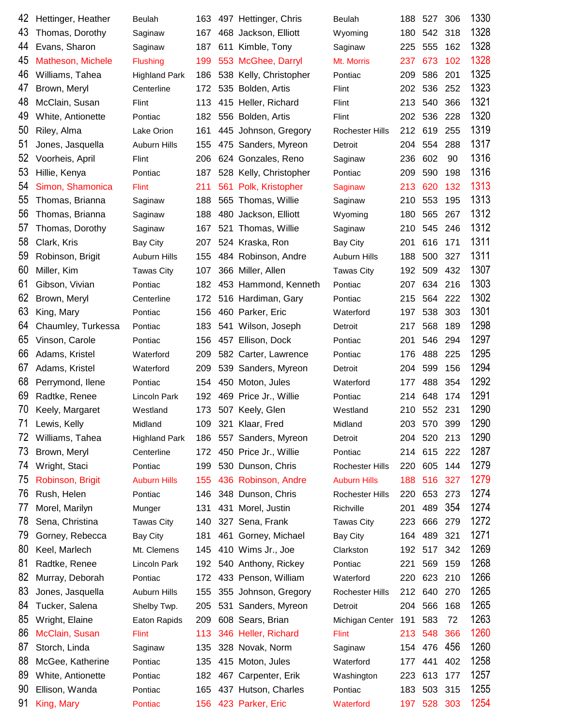| 42 | Hettinger, Heather | Beulah               | 163 | 497 Hettinger, Chris   | Beulah                 | 188 | 527         | 306 | 1330 |
|----|--------------------|----------------------|-----|------------------------|------------------------|-----|-------------|-----|------|
| 43 | Thomas, Dorothy    | Saginaw              | 167 | 468 Jackson, Elliott   | Wyoming                | 180 | 542         | 318 | 1328 |
| 44 | Evans, Sharon      | Saginaw              | 187 | 611 Kimble, Tony       | Saginaw                | 225 | 555         | 162 | 1328 |
| 45 | Matheson, Michele  | <b>Flushing</b>      | 199 | 553 McGhee, Darryl     | Mt. Morris             | 237 | 673         | 102 | 1328 |
| 46 | Williams, Tahea    | <b>Highland Park</b> | 186 | 538 Kelly, Christopher | Pontiac                | 209 | 586         | 201 | 1325 |
| 47 | Brown, Meryl       | Centerline           | 172 | 535 Bolden, Artis      | Flint                  | 202 | 536         | 252 | 1323 |
| 48 | McClain, Susan     | Flint                | 113 | 415 Heller, Richard    | Flint                  | 213 | 540         | 366 | 1321 |
| 49 | White, Antionette  | Pontiac              | 182 | 556 Bolden, Artis      | Flint                  | 202 | 536         | 228 | 1320 |
| 50 | Riley, Alma        | Lake Orion           | 161 | 445 Johnson, Gregory   | Rochester Hills        | 212 | 619         | 255 | 1319 |
| 51 | Jones, Jasquella   | <b>Auburn Hills</b>  | 155 | 475 Sanders, Myreon    | Detroit                | 204 | 554         | 288 | 1317 |
| 52 | Voorheis, April    | Flint                | 206 | 624 Gonzales, Reno     | Saginaw                | 236 | 602         | 90  | 1316 |
| 53 | Hillie, Kenya      | Pontiac              | 187 | 528 Kelly, Christopher | Pontiac                | 209 | 590         | 198 | 1316 |
| 54 | Simon, Shamonica   | <b>Flint</b>         | 211 | 561 Polk, Kristopher   | Saginaw                | 213 | 620         | 132 | 1313 |
| 55 | Thomas, Brianna    | Saginaw              | 188 | 565 Thomas, Willie     | Saginaw                | 210 | 553         | 195 | 1313 |
| 56 | Thomas, Brianna    | Saginaw              | 188 | 480 Jackson, Elliott   | Wyoming                | 180 | 565         | 267 | 1312 |
| 57 | Thomas, Dorothy    | Saginaw              | 167 | 521 Thomas, Willie     | Saginaw                | 210 | 545         | 246 | 1312 |
| 58 | Clark, Kris        | <b>Bay City</b>      | 207 | 524 Kraska, Ron        | Bay City               | 201 | 616         | 171 | 1311 |
| 59 | Robinson, Brigit   | Auburn Hills         | 155 | 484 Robinson, Andre    | <b>Auburn Hills</b>    | 188 | 500         | 327 | 1311 |
| 60 | Miller, Kim        | <b>Tawas City</b>    | 107 | 366 Miller, Allen      | <b>Tawas City</b>      | 192 | 509         | 432 | 1307 |
| 61 | Gibson, Vivian     | Pontiac              | 182 | 453 Hammond, Kenneth   | Pontiac                | 207 | 634         | 216 | 1303 |
| 62 | Brown, Meryl       | Centerline           | 172 | 516 Hardiman, Gary     | Pontiac                | 215 | 564         | 222 | 1302 |
| 63 | King, Mary         | Pontiac              | 156 | 460 Parker, Eric       | Waterford              | 197 | 538         | 303 | 1301 |
| 64 | Chaumley, Turkessa | Pontiac              | 183 | 541 Wilson, Joseph     | Detroit                | 217 | 568         | 189 | 1298 |
| 65 | Vinson, Carole     | Pontiac              | 156 | 457 Ellison, Dock      | Pontiac                | 201 | 546         | 294 | 1297 |
| 66 | Adams, Kristel     | Waterford            | 209 | 582 Carter, Lawrence   | Pontiac                | 176 | 488         | 225 | 1295 |
| 67 | Adams, Kristel     | Waterford            | 209 | 539 Sanders, Myreon    | Detroit                | 204 | 599         | 156 | 1294 |
| 68 | Perrymond, Ilene   | Pontiac              | 154 | 450 Moton, Jules       | Waterford              | 177 | 488         | 354 | 1292 |
| 69 | Radtke, Renee      | Lincoln Park         | 192 | 469 Price Jr., Willie  | Pontiac                | 214 | 648         | 174 | 1291 |
| 70 | Keely, Margaret    | Westland             | 173 | 507 Keely, Glen        | Westland               | 210 | 552         | 231 | 1290 |
| 71 | Lewis, Kelly       | Midland              | 109 | 321 Klaar, Fred        | Midland                | 203 | 570 399     |     | 1290 |
| 72 | Williams, Tahea    | <b>Highland Park</b> | 186 | 557 Sanders, Myreon    | Detroit                | 204 | 520         | 213 | 1290 |
| 73 | Brown, Meryl       | Centerline           | 172 | 450 Price Jr., Willie  | Pontiac                |     | 214 615 222 |     | 1287 |
| 74 | Wright, Staci      | Pontiac              | 199 | 530 Dunson, Chris      | <b>Rochester Hills</b> | 220 | 605         | 144 | 1279 |
| 75 | Robinson, Brigit   | <b>Auburn Hills</b>  | 155 | 436 Robinson, Andre    | <b>Auburn Hills</b>    | 188 | 516         | 327 | 1279 |
| 76 | Rush, Helen        | Pontiac              | 146 | 348 Dunson, Chris      | <b>Rochester Hills</b> | 220 | 653         | 273 | 1274 |
| 77 | Morel, Marilyn     | Munger               | 131 | 431 Morel, Justin      | Richville              | 201 | 489         | 354 | 1274 |
| 78 | Sena, Christina    | <b>Tawas City</b>    | 140 | 327 Sena, Frank        | <b>Tawas City</b>      | 223 | 666         | 279 | 1272 |
| 79 | Gorney, Rebecca    | <b>Bay City</b>      | 181 | 461 Gorney, Michael    | <b>Bay City</b>        | 164 | 489         | 321 | 1271 |
| 80 | Keel, Marlech      | Mt. Clemens          | 145 | 410 Wims Jr., Joe      | Clarkston              |     | 192 517     | 342 | 1269 |
| 81 | Radtke, Renee      | Lincoln Park         | 192 | 540 Anthony, Rickey    | Pontiac                | 221 | 569         | 159 | 1268 |
| 82 | Murray, Deborah    | Pontiac              | 172 | 433 Penson, William    | Waterford              | 220 | 623         | 210 | 1266 |
| 83 | Jones, Jasquella   | <b>Auburn Hills</b>  | 155 | 355 Johnson, Gregory   | <b>Rochester Hills</b> | 212 | 640         | 270 | 1265 |
| 84 | Tucker, Salena     | Shelby Twp.          | 205 | 531 Sanders, Myreon    | Detroit                | 204 | 566         | 168 | 1265 |
| 85 | Wright, Elaine     | <b>Eaton Rapids</b>  | 209 | 608 Sears, Brian       | Michigan Center        | 191 | 583         | 72  | 1263 |
| 86 | McClain, Susan     | <b>Flint</b>         | 113 | 346 Heller, Richard    | <b>Flint</b>           | 213 | 548         | 366 | 1260 |
| 87 | Storch, Linda      | Saginaw              | 135 | 328 Novak, Norm        | Saginaw                | 154 | 476         | 456 | 1260 |
| 88 | McGee, Katherine   | Pontiac              | 135 | 415 Moton, Jules       | Waterford              | 177 | 441         | 402 | 1258 |
| 89 | White, Antionette  | Pontiac              | 182 | 467 Carpenter, Erik    | Washington             | 223 | 613         | 177 | 1257 |
| 90 | Ellison, Wanda     | Pontiac              | 165 | 437 Hutson, Charles    | Pontiac                | 183 | 503         | 315 | 1255 |
| 91 |                    |                      |     |                        |                        |     | 197 528 303 |     | 1254 |
|    | King, Mary         | Pontiac              |     | 156 423 Parker, Eric   | Waterford              |     |             |     |      |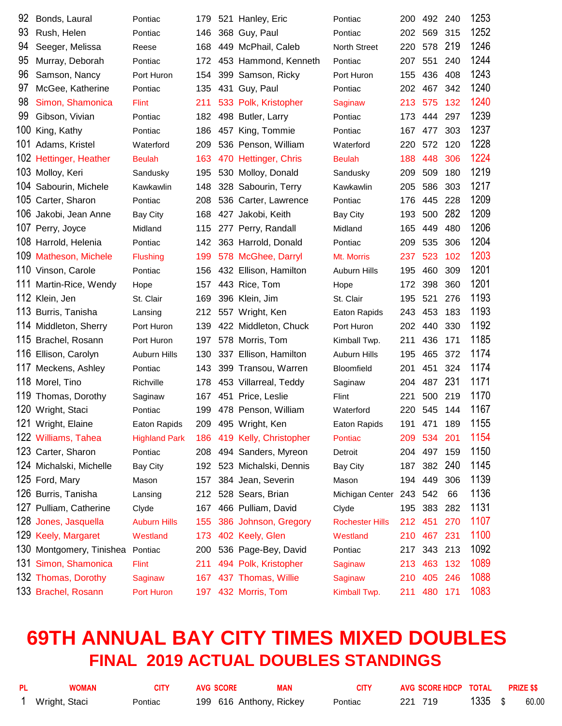| 92  | Bonds, Laural            | Pontiac              | 179 | 521 Hanley, Eric       | Pontiac                | 200 | 492 240 |     | 1253 |
|-----|--------------------------|----------------------|-----|------------------------|------------------------|-----|---------|-----|------|
| 93  | Rush, Helen              | Pontiac              | 146 | 368 Guy, Paul          | Pontiac                | 202 | 569     | 315 | 1252 |
| 94  | Seeger, Melissa          | Reese                | 168 | 449 McPhail, Caleb     | <b>North Street</b>    | 220 | 578     | 219 | 1246 |
| 95  | Murray, Deborah          | Pontiac              | 172 | 453 Hammond, Kenneth   | Pontiac                | 207 | 551     | 240 | 1244 |
| 96  | Samson, Nancy            | Port Huron           | 154 | 399 Samson, Ricky      | Port Huron             | 155 | 436     | 408 | 1243 |
| 97  | McGee, Katherine         | Pontiac              | 135 | 431 Guy, Paul          | Pontiac                | 202 | 467     | 342 | 1240 |
| 98  | Simon, Shamonica         | <b>Flint</b>         | 211 | 533 Polk, Kristopher   | Saginaw                | 213 | 575     | 132 | 1240 |
| 99  | Gibson, Vivian           | Pontiac              | 182 | 498 Butler, Larry      | Pontiac                | 173 | 444     | 297 | 1239 |
| 100 | King, Kathy              | Pontiac              | 186 | 457 King, Tommie       | Pontiac                | 167 | 477     | 303 | 1237 |
|     | 101 Adams, Kristel       | Waterford            | 209 | 536 Penson, William    | Waterford              | 220 | 572     | 120 | 1228 |
|     | 102 Hettinger, Heather   | <b>Beulah</b>        | 163 | 470 Hettinger, Chris   | <b>Beulah</b>          | 188 | 448     | 306 | 1224 |
|     | 103 Molloy, Keri         | Sandusky             | 195 | 530 Molloy, Donald     | Sandusky               | 209 | 509     | 180 | 1219 |
|     | 104 Sabourin, Michele    | Kawkawlin            | 148 | 328 Sabourin, Terry    | Kawkawlin              | 205 | 586     | 303 | 1217 |
|     | 105 Carter, Sharon       | Pontiac              | 208 | 536 Carter, Lawrence   | Pontiac                | 176 | 445     | 228 | 1209 |
| 106 | Jakobi, Jean Anne        | Bay City             | 168 | 427 Jakobi, Keith      | <b>Bay City</b>        | 193 | 500     | 282 | 1209 |
|     | 107 Perry, Joyce         | Midland              | 115 | 277 Perry, Randall     | Midland                | 165 | 449     | 480 | 1206 |
|     | 108 Harrold, Helenia     | Pontiac              | 142 | 363 Harrold, Donald    | Pontiac                | 209 | 535     | 306 | 1204 |
| 109 | <b>Matheson, Michele</b> | <b>Flushing</b>      | 199 | 578 McGhee, Darryl     | Mt. Morris             | 237 | 523     | 102 | 1203 |
|     | 110 Vinson, Carole       | Pontiac              | 156 | 432 Ellison, Hamilton  | <b>Auburn Hills</b>    | 195 | 460     | 309 | 1201 |
| 111 | Martin-Rice, Wendy       | Hope                 | 157 | 443 Rice, Tom          | Hope                   | 172 | 398     | 360 | 1201 |
|     | 112 Klein, Jen           | St. Clair            | 169 | 396 Klein, Jim         | St. Clair              | 195 | 521     | 276 | 1193 |
| 113 | Burris, Tanisha          | Lansing              | 212 | 557 Wright, Ken        | Eaton Rapids           | 243 | 453     | 183 | 1193 |
|     | 114 Middleton, Sherry    | Port Huron           | 139 | 422 Middleton, Chuck   | Port Huron             | 202 | 440     | 330 | 1192 |
|     | 115 Brachel, Rosann      | Port Huron           | 197 | 578 Morris, Tom        | Kimball Twp.           | 211 | 436     | 171 | 1185 |
|     | 116 Ellison, Carolyn     | <b>Auburn Hills</b>  | 130 | 337 Ellison, Hamilton  | <b>Auburn Hills</b>    | 195 | 465     | 372 | 1174 |
|     | 117 Meckens, Ashley      | Pontiac              | 143 | 399 Transou, Warren    | <b>Bloomfield</b>      | 201 | 451     | 324 | 1174 |
|     | 118 Morel, Tino          | Richville            | 178 | 453 Villarreal, Teddy  | Saginaw                | 204 | 487     | 231 | 1171 |
| 119 | Thomas, Dorothy          | Saginaw              | 167 | 451 Price, Leslie      | Flint                  | 221 | 500     | 219 | 1170 |
|     | 120 Wright, Staci        | Pontiac              | 199 | 478 Penson, William    | Waterford              | 220 | 545     | 144 | 1167 |
|     | 121 Wright, Elaine       | Eaton Rapids         | 209 | 495 Wright, Ken        | Eaton Rapids           | 191 | 471     | 189 | 1155 |
|     | 122 Williams, Tahea      | <b>Highland Park</b> | 186 | 419 Kelly, Christopher | Pontiac                | 209 | 534     | 201 | 1154 |
|     | 123 Carter, Sharon       | Pontiac              | 208 | 494 Sanders, Myreon    | Detroit                | 204 | 497     | 159 | 1150 |
|     | 124 Michalski, Michelle  | <b>Bay City</b>      | 192 | 523 Michalski, Dennis  | <b>Bay City</b>        | 187 | 382     | 240 | 1145 |
|     | 125 Ford, Mary           | Mason                | 157 | 384 Jean, Severin      | Mason                  | 194 | 449     | 306 | 1139 |
|     | 126 Burris, Tanisha      | Lansing              | 212 | 528 Sears, Brian       | Michigan Center        | 243 | 542     | 66  | 1136 |
|     | 127 Pulliam, Catherine   | Clyde                | 167 | 466 Pulliam, David     | Clyde                  | 195 | 383     | 282 | 1131 |
| 128 | Jones, Jasquella         | <b>Auburn Hills</b>  | 155 | 386 Johnson, Gregory   | <b>Rochester Hills</b> | 212 | 451     | 270 | 1107 |
|     | 129 Keely, Margaret      | Westland             | 173 | 402 Keely, Glen        | Westland               | 210 | 467     | 231 | 1100 |
|     | 130 Montgomery, Tinishea | Pontiac              | 200 | 536 Page-Bey, David    | Pontiac                | 217 | 343 213 |     | 1092 |
| 131 | Simon, Shamonica         | <b>Flint</b>         | 211 | 494 Polk, Kristopher   | <b>Saginaw</b>         | 213 | 463     | 132 | 1089 |
|     | 132 Thomas, Dorothy      | Saginaw              | 167 | 437 Thomas, Willie     | Saginaw                | 210 | 405     | 246 | 1088 |
|     | 133 Brachel, Rosann      | Port Huron           | 197 | 432 Morris, Tom        | Kimball Twp.           | 211 | 480 171 |     | 1083 |

## **69TH ANNUAL BAY CITY TIMES MIXED DOUBLES FINAL 2019 ACTUAL DOUBLES STANDINGS**

| PL | <b>WOMAN</b>  | CITY    | <b>AVG SCORE</b>        | MAN | <b>CITY</b> | AVG SCORE HDCP TOTAL PRIZE \$\$ |           |       |
|----|---------------|---------|-------------------------|-----|-------------|---------------------------------|-----------|-------|
|    | Wright, Staci | Pontiac | 199 616 Anthony, Rickey |     | Pontiac     | 221 719                         | $1335$ \$ | 60.00 |